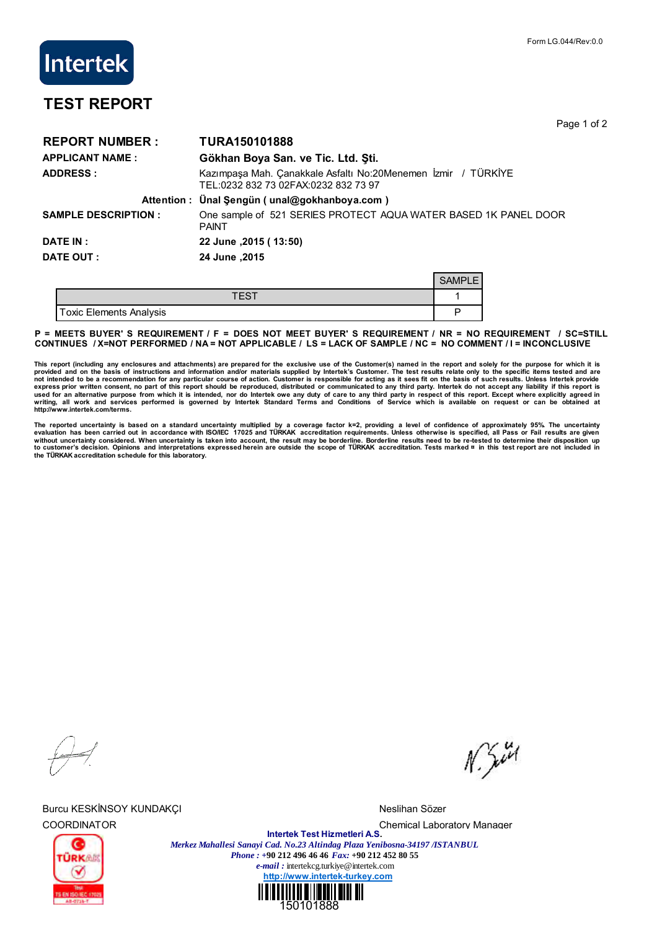## **Intertek**

## **TEST REPORT**

Page 1 of 2

| <b>REPORT NUMBER:</b>      | <b>TURA150101888</b>                                                                                  |               |  |  |  |
|----------------------------|-------------------------------------------------------------------------------------------------------|---------------|--|--|--|
| <b>APPLICANT NAME:</b>     | Gökhan Boya San. ve Tic. Ltd. Şti.                                                                    |               |  |  |  |
| <b>ADDRESS:</b>            | Kazımpaşa Mah. Çanakkale Asfaltı No:20Menemen İzmir / TÜRKİYE<br>TEL:0232 832 73 02FAX:0232 832 73 97 |               |  |  |  |
|                            | Attention: Ünal Şengün (unal@gokhanboya.com)                                                          |               |  |  |  |
| <b>SAMPLE DESCRIPTION:</b> | One sample of 521 SERIES PROTECT AQUA WATER BASED 1K PANEL DOOR<br><b>PAINT</b>                       |               |  |  |  |
| DATE IN :                  | 22 June , 2015 (13:50)                                                                                |               |  |  |  |
| <b>DATE OUT:</b>           | 24 June, 2015                                                                                         |               |  |  |  |
|                            |                                                                                                       | <b>SAMPLE</b> |  |  |  |
|                            | <b>TEST</b>                                                                                           |               |  |  |  |

Toxic Elements Analysis **Provides Provides Provides Provides Provides Provides Provides Provides Provides Provides Provides Provides Provides Provides Provides Provides Provides Provides P = MEETS BUYER' S REQUIREMENT / F = DOES NOT MEET BUYER' S REQUIREMENT / NR = NO REQUIREMENT / SC=STILL**

## **CONTINUES / X=NOT PERFORMED / NA = NOT APPLICABLE / LS = LACK OF SAMPLE / NC = NO COMMENT / I = INCONCLUSIVE**

This report (including any enclosures and attachments) are prepared for the exclusive use of the Customer(s) named in the report and solely for the purpose for which it is<br>provided and on the basis of instructions and info **writing, all work and services performed is governed by Intertek Standard Terms and Conditions of Service which is available on request or can be obtained at http://www.intertek.com/terms.**

The reported uncertainty is based on a standard uncertainty multiplied by a coverage factor k=2, providing a level of confidence of approximately 95%. The uncertainty<br>without uncertainty considered. When uncertainty staken **the TÜRKAK accreditation schedule for this laboratory.**

Burcu KESKİNSOY KUNDAKÇI NESLI NESI'NDE TERLETI NESI'NDE MESLIHAN SÖZER

 $N$ . Sivel



COORDINATOR Chemical Laboratory Manager **Intertek Test Hizmetleri A.S.** *Merkez Mahallesi Sanayi Cad. No.23 Altindag Plaza Yenibosna-34197 /ISTANBUL Phone : +***90 212 496 46 46** *Fax:* **+90 212 452 80 55** *e-mail :* intertekcg.turkiye@intertek.com **http://www.intertek-turkey.com**

150101888